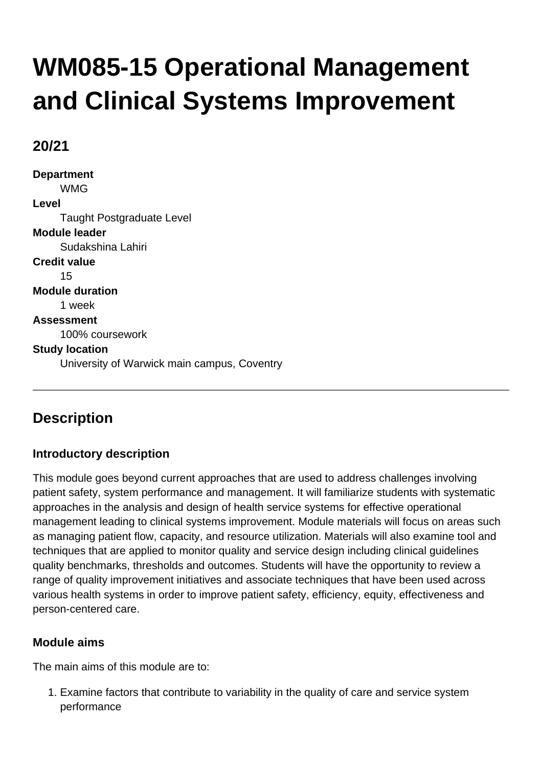# **WM085-15 Operational Management and Clinical Systems Improvement**

# **20/21**

**Department** WMG **Level** Taught Postgraduate Level **Module leader** Sudakshina Lahiri **Credit value** 15 **Module duration** 1 week **Assessment** 100% coursework **Study location** University of Warwick main campus, Coventry

# **Description**

## **Introductory description**

This module goes beyond current approaches that are used to address challenges involving patient safety, system performance and management. It will familiarize students with systematic approaches in the analysis and design of health service systems for effective operational management leading to clinical systems improvement. Module materials will focus on areas such as managing patient flow, capacity, and resource utilization. Materials will also examine tool and techniques that are applied to monitor quality and service design including clinical guidelines quality benchmarks, thresholds and outcomes. Students will have the opportunity to review a range of quality improvement initiatives and associate techniques that have been used across various health systems in order to improve patient safety, efficiency, equity, effectiveness and person-centered care.

## **Module aims**

The main aims of this module are to:

1. Examine factors that contribute to variability in the quality of care and service system performance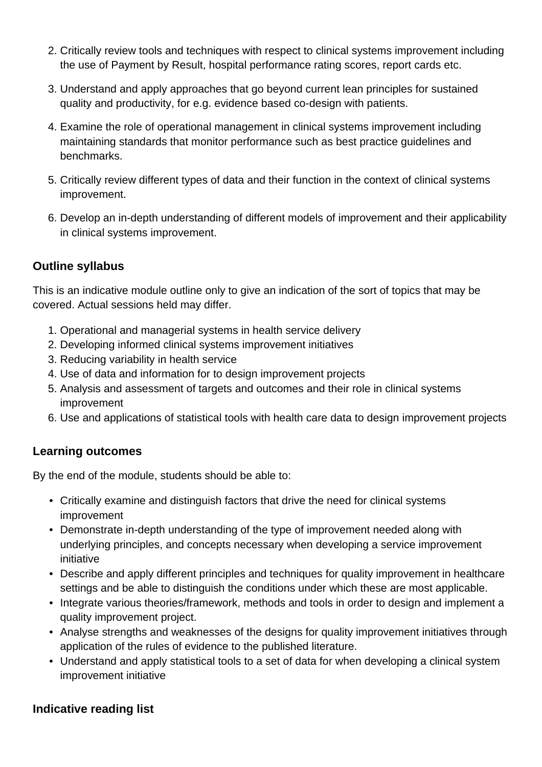- 2. Critically review tools and techniques with respect to clinical systems improvement including the use of Payment by Result, hospital performance rating scores, report cards etc.
- 3. Understand and apply approaches that go beyond current lean principles for sustained quality and productivity, for e.g. evidence based co-design with patients.
- 4. Examine the role of operational management in clinical systems improvement including maintaining standards that monitor performance such as best practice guidelines and benchmarks.
- 5. Critically review different types of data and their function in the context of clinical systems improvement.
- 6. Develop an in-depth understanding of different models of improvement and their applicability in clinical systems improvement.

## **Outline syllabus**

This is an indicative module outline only to give an indication of the sort of topics that may be covered. Actual sessions held may differ.

- 1. Operational and managerial systems in health service delivery
- 2. Developing informed clinical systems improvement initiatives
- 3. Reducing variability in health service
- 4. Use of data and information for to design improvement projects
- 5. Analysis and assessment of targets and outcomes and their role in clinical systems improvement
- 6. Use and applications of statistical tools with health care data to design improvement projects

## **Learning outcomes**

By the end of the module, students should be able to:

- Critically examine and distinguish factors that drive the need for clinical systems improvement
- Demonstrate in-depth understanding of the type of improvement needed along with underlying principles, and concepts necessary when developing a service improvement initiative
- Describe and apply different principles and techniques for quality improvement in healthcare settings and be able to distinguish the conditions under which these are most applicable.
- Integrate various theories/framework, methods and tools in order to design and implement a quality improvement project.
- Analyse strengths and weaknesses of the designs for quality improvement initiatives through application of the rules of evidence to the published literature.
- Understand and apply statistical tools to a set of data for when developing a clinical system improvement initiative

## **Indicative reading list**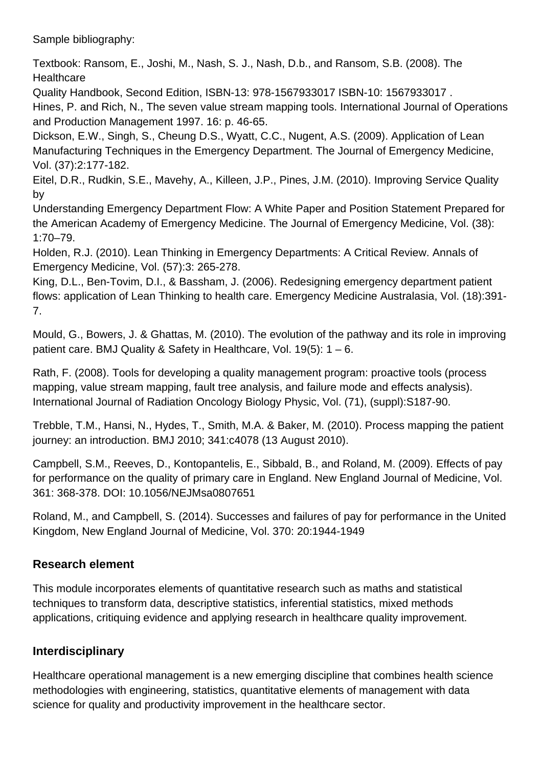Sample bibliography:

Textbook: Ransom, E., Joshi, M., Nash, S. J., Nash, D.b., and Ransom, S.B. (2008). The **Healthcare** 

Quality Handbook, Second Edition, ISBN-13: 978-1567933017 ISBN-10: 1567933017 . Hines, P. and Rich, N., The seven value stream mapping tools. International Journal of Operations and Production Management 1997. 16: p. 46-65.

Dickson, E.W., Singh, S., Cheung D.S., Wyatt, C.C., Nugent, A.S. (2009). Application of Lean Manufacturing Techniques in the Emergency Department. The Journal of Emergency Medicine, Vol. (37):2:177-182.

Eitel, D.R., Rudkin, S.E., Mavehy, A., Killeen, J.P., Pines, J.M. (2010). Improving Service Quality by

Understanding Emergency Department Flow: A White Paper and Position Statement Prepared for the American Academy of Emergency Medicine. The Journal of Emergency Medicine, Vol. (38): 1:70–79.

Holden, R.J. (2010). Lean Thinking in Emergency Departments: A Critical Review. Annals of Emergency Medicine, Vol. (57):3: 265-278.

King, D.L., Ben-Tovim, D.I., & Bassham, J. (2006). Redesigning emergency department patient flows: application of Lean Thinking to health care. Emergency Medicine Australasia, Vol. (18):391- 7.

Mould, G., Bowers, J. & Ghattas, M. (2010). The evolution of the pathway and its role in improving patient care. BMJ Quality & Safety in Healthcare, Vol. 19(5): 1 – 6.

Rath, F. (2008). Tools for developing a quality management program: proactive tools (process mapping, value stream mapping, fault tree analysis, and failure mode and effects analysis). International Journal of Radiation Oncology Biology Physic, Vol. (71), (suppl):S187-90.

Trebble, T.M., Hansi, N., Hydes, T., Smith, M.A. & Baker, M. (2010). Process mapping the patient journey: an introduction. BMJ 2010; 341:c4078 (13 August 2010).

Campbell, S.M., Reeves, D., Kontopantelis, E., Sibbald, B., and Roland, M. (2009). Effects of pay for performance on the quality of primary care in England. New England Journal of Medicine, Vol. 361: 368-378. DOI: 10.1056/NEJMsa0807651

Roland, M., and Campbell, S. (2014). Successes and failures of pay for performance in the United Kingdom, New England Journal of Medicine, Vol. 370: 20:1944-1949

## **Research element**

This module incorporates elements of quantitative research such as maths and statistical techniques to transform data, descriptive statistics, inferential statistics, mixed methods applications, critiquing evidence and applying research in healthcare quality improvement.

## **Interdisciplinary**

Healthcare operational management is a new emerging discipline that combines health science methodologies with engineering, statistics, quantitative elements of management with data science for quality and productivity improvement in the healthcare sector.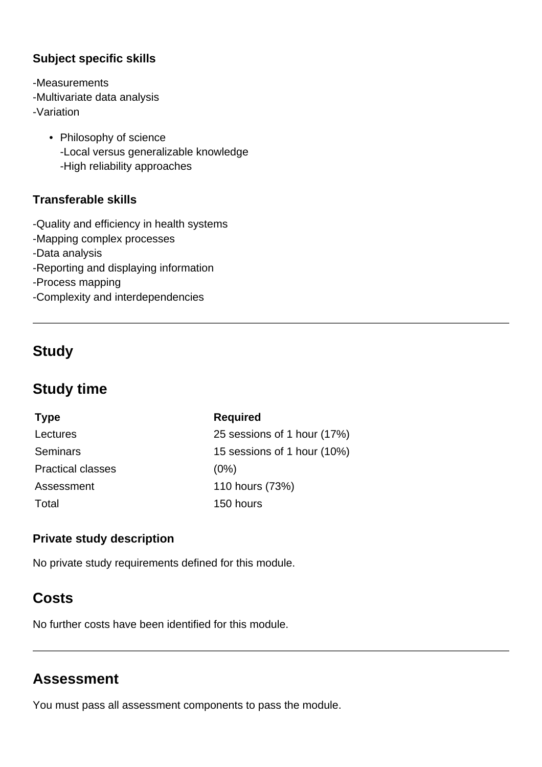#### **Subject specific skills**

-Measurements -Multivariate data analysis

- -Variation
	- Philosophy of science -Local versus generalizable knowledge -High reliability approaches

#### **Transferable skills**

- -Quality and efficiency in health systems
- -Mapping complex processes
- -Data analysis
- -Reporting and displaying information
- -Process mapping
- -Complexity and interdependencies

# **Study**

# **Study time**

| <b>Required</b>             |
|-----------------------------|
| 25 sessions of 1 hour (17%) |
| 15 sessions of 1 hour (10%) |
| (0%)                        |
| 110 hours (73%)             |
| 150 hours                   |
|                             |

#### **Private study description**

No private study requirements defined for this module.

# **Costs**

No further costs have been identified for this module.

# **Assessment**

You must pass all assessment components to pass the module.